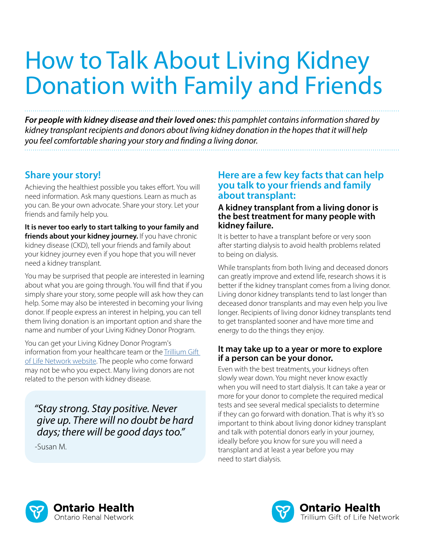# How to Talk About Living Kidney Donation with Family and Friends

*For people with kidney disease and their loved ones: this pamphlet contains information shared by kidney transplant recipients and donors about living kidney donation in the hopes that it will help you feel comfortable sharing your story and finding a living donor.* 

# **Share your story!**

Achieving the healthiest possible you takes effort. You will need information. Ask many questions. Learn as much as you can. Be your own advocate. Share your story. Let your friends and family help you.

**It is never too early to start talking to your family and**  friends about your kidney journey. If you have chronic kidney disease (CKD), tell your friends and family about your kidney journey even if you hope that you will never need a kidney transplant.

You may be surprised that people are interested in learning about what you are going through. You will find that if you simply share your story, some people will ask how they can help. Some may also be interested in becoming your living donor. If people express an interest in helping, you can tell them living donation is an important option and share the name and number of your Living Kidney Donor Program.

You can get your Living Kidney Donor Program's information from your healthcare team or the [Trillium Gift](https://www.giftoflife.on.ca/en/transplant.htm#slicelive)  [of Life Network website](https://www.giftoflife.on.ca/en/transplant.htm#slicelive). The people who come forward may not be who you expect. Many living donors are not related to the person with kidney disease.

*"Stay strong. Stay positive. Never give up. There will no doubt be hard days; there will be good days too."*

-Susan M.

## **Here are a few key facts that can help you talk to your friends and family about transplant:**

#### **A kidney transplant from a living donor is the best treatment for many people with kidney failure.**

It is better to have a transplant before or very soon after starting dialysis to avoid health problems related to being on dialysis.

While transplants from both living and deceased donors can greatly improve and extend life, research shows it is better if the kidney transplant comes from a living donor. Living donor kidney transplants tend to last longer than deceased donor transplants and may even help you live longer. Recipients of living donor kidney transplants tend to get transplanted sooner and have more time and energy to do the things they enjoy.

#### **It may take up to a year or more to explore if a person can be your donor.**

Even with the best treatments, your kidneys often slowly wear down. You might never know exactly when you will need to start dialysis. It can take a year or more for your donor to complete the required medical tests and see several medical specialists to determine if they can go forward with donation. That is why it's so important to think about living donor kidney transplant and talk with potential donors early in your journey, ideally before you know for sure you will need a transplant and at least a year before you may need to start dialysis.